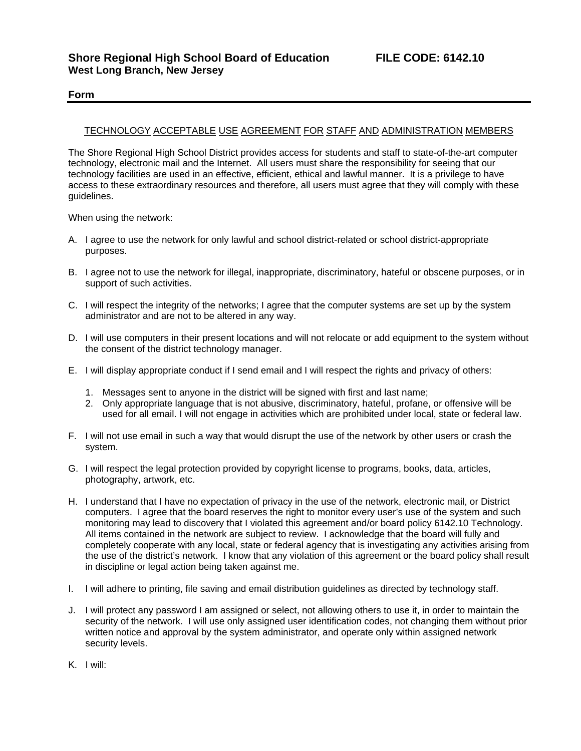## **Form**

## TECHNOLOGY ACCEPTABLE USE AGREEMENT FOR STAFF AND ADMINISTRATION MEMBERS

The Shore Regional High School District provides access for students and staff to state-of-the-art computer technology, electronic mail and the Internet. All users must share the responsibility for seeing that our technology facilities are used in an effective, efficient, ethical and lawful manner. It is a privilege to have access to these extraordinary resources and therefore, all users must agree that they will comply with these guidelines.

When using the network:

- A. I agree to use the network for only lawful and school district-related or school district-appropriate purposes.
- B. I agree not to use the network for illegal, inappropriate, discriminatory, hateful or obscene purposes, or in support of such activities.
- C. I will respect the integrity of the networks; I agree that the computer systems are set up by the system administrator and are not to be altered in any way.
- D. I will use computers in their present locations and will not relocate or add equipment to the system without the consent of the district technology manager.
- E. I will display appropriate conduct if I send email and I will respect the rights and privacy of others:
	- 1. Messages sent to anyone in the district will be signed with first and last name;
	- 2. Only appropriate language that is not abusive, discriminatory, hateful, profane, or offensive will be used for all email. I will not engage in activities which are prohibited under local, state or federal law.
- F. I will not use email in such a way that would disrupt the use of the network by other users or crash the system.
- G. I will respect the legal protection provided by copyright license to programs, books, data, articles, photography, artwork, etc.
- H. I understand that I have no expectation of privacy in the use of the network, electronic mail, or District computers. I agree that the board reserves the right to monitor every user's use of the system and such monitoring may lead to discovery that I violated this agreement and/or board policy 6142.10 Technology. All items contained in the network are subject to review. I acknowledge that the board will fully and completely cooperate with any local, state or federal agency that is investigating any activities arising from the use of the district's network. I know that any violation of this agreement or the board policy shall result in discipline or legal action being taken against me.
- I. I will adhere to printing, file saving and email distribution guidelines as directed by technology staff.
- J. I will protect any password I am assigned or select, not allowing others to use it, in order to maintain the security of the network. I will use only assigned user identification codes, not changing them without prior written notice and approval by the system administrator, and operate only within assigned network security levels.
- K. I will: